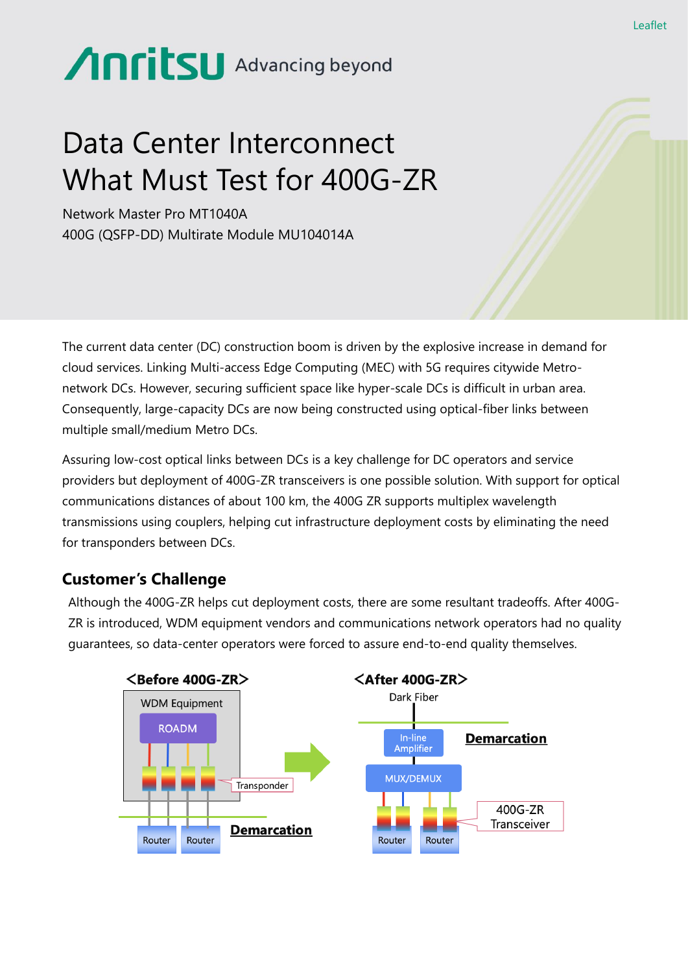# Anritsu Advancing beyond

# Data Center Interconnect What Must Test for 400G-ZR

Network Master Pro MT1040A 400G (QSFP-DD) Multirate Module MU104014A

The current data center (DC) construction boom is driven by the explosive increase in demand for cloud services. Linking Multi-access Edge Computing (MEC) with 5G requires citywide Metronetwork DCs. However, securing sufficient space like hyper-scale DCs is difficult in urban area. Consequently, large-capacity DCs are now being constructed using optical-fiber links between multiple small/medium Metro DCs.

Assuring low-cost optical links between DCs is a key challenge for DC operators and service providers but deployment of 400G-ZR transceivers is one possible solution. With support for optical communications distances of about 100 km, the 400G ZR supports multiplex wavelength transmissions using couplers, helping cut infrastructure deployment costs by eliminating the need for transponders between DCs.

#### **Customer's Challenge**

Although the 400G-ZR helps cut deployment costs, there are some resultant tradeoffs. After 400G-ZR is introduced, WDM equipment vendors and communications network operators had no quality guarantees, so data-center operators were forced to assure end-to-end quality themselves.



Leaflet